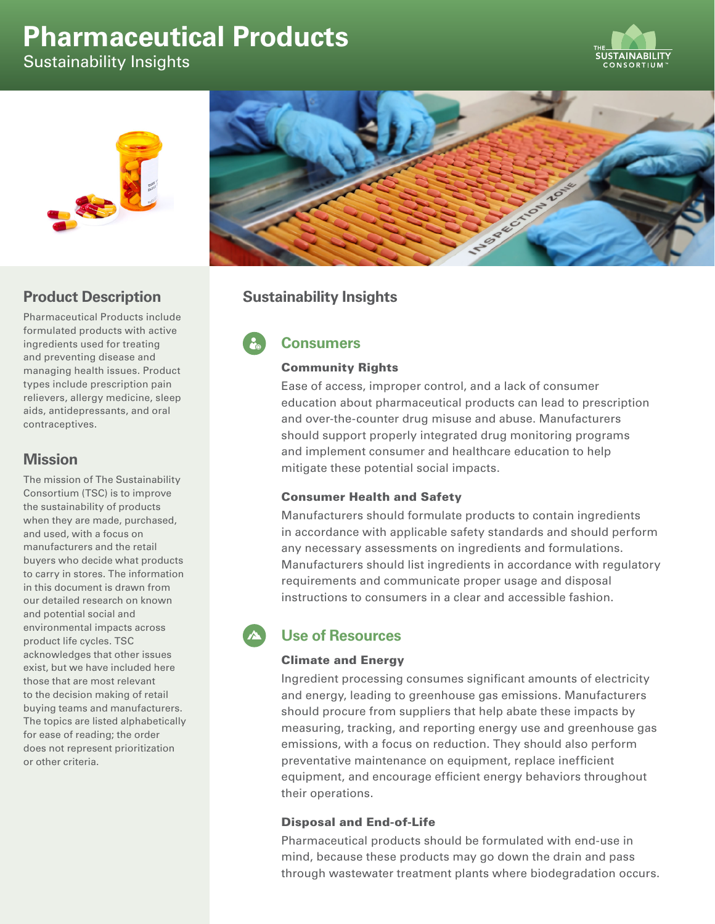# **Pharmaceutical Products**

Sustainability Insights





# **Product Description**

Pharmaceutical Products include formulated products with active ingredients used for treating and preventing disease and managing health issues. Product types include prescription pain relievers, allergy medicine, sleep aids, antidepressants, and oral contraceptives.

# **Mission**

The mission of The Sustainability Consortium (TSC) is to improve the sustainability of products when they are made, purchased, and used, with a focus on manufacturers and the retail buyers who decide what products to carry in stores. The information in this document is drawn from our detailed research on known and potential social and environmental impacts across product life cycles. TSC acknowledges that other issues exist, but we have included here those that are most relevant to the decision making of retail buying teams and manufacturers. The topics are listed alphabetically for ease of reading; the order does not represent prioritization or other criteria.



# **Sustainability Insights**

# **Consumers**

### Community Rights

Ease of access, improper control, and a lack of consumer education about pharmaceutical products can lead to prescription and over-the-counter drug misuse and abuse. Manufacturers should support properly integrated drug monitoring programs and implement consumer and healthcare education to help mitigate these potential social impacts.

## Consumer Health and Safety

Manufacturers should formulate products to contain ingredients in accordance with applicable safety standards and should perform any necessary assessments on ingredients and formulations. Manufacturers should list ingredients in accordance with regulatory requirements and communicate proper usage and disposal instructions to consumers in a clear and accessible fashion.

# **Use of Resources**

### Climate and Energy

Ingredient processing consumes significant amounts of electricity and energy, leading to greenhouse gas emissions. Manufacturers should procure from suppliers that help abate these impacts by measuring, tracking, and reporting energy use and greenhouse gas emissions, with a focus on reduction. They should also perform preventative maintenance on equipment, replace inefficient equipment, and encourage efficient energy behaviors throughout their operations.

## Disposal and End-of-Life

Pharmaceutical products should be formulated with end-use in mind, because these products may go down the drain and pass through wastewater treatment plants where biodegradation occurs.